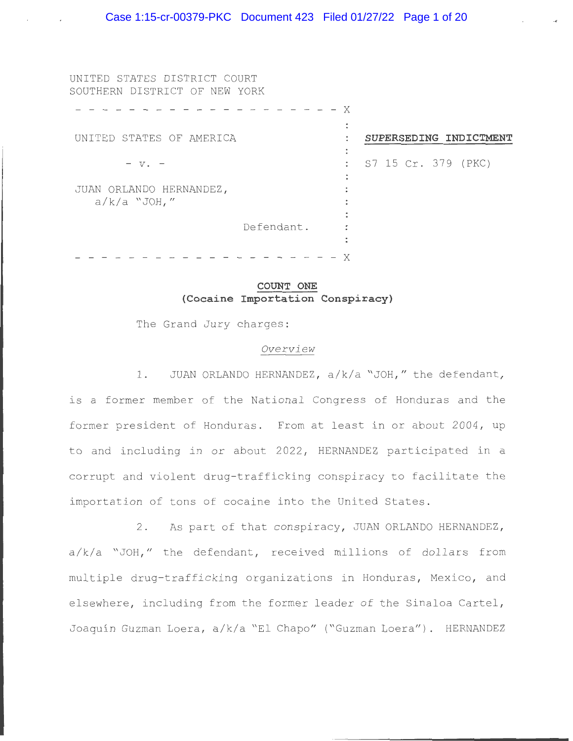- - X

 $\ddot{\cdot}$  $\ddot{\phantom{a}}$ 

 $\mathbb{R}^{\mathbb{Z}}$  $\ddot{\phantom{a}}$  $\ddot{\phantom{0}}$ 

**SUPERSEDING INDICTMENT** 

S7 15 Cr . 379 (PKC)

UNITED STATES DISTRICT COURT SOUTHERN DISTRICT OF NEW YORK

UNITED STATES OF AMERICA  $V$ .  $-$ 

JUAN ORLANDO HERNANDEZ ,  $a/k/a$  "JOH,"

Defendant .

- - - - - - - - - - - - - - - - - - - - X

# **COUNT ONE (Cocaine Importation Conspiracy)**

The Grand Jury charges:

## *Overview*

1. JUAN ORLANDO HERNANDEZ, a/k/a "JOH," the defendant, is a former member of the National Congress of Honduras and the former president of Honduras. From at least in or about 2004, up to and including in or about 2022 , HERNANDEZ participated in a corrupt and violent drug- trafficking conspiracy to facilitate the importation of tons of cocaine into the United States.

2. As part of that conspiracy, JUAN ORLANDO HERNANDEZ,  $a/k/a$  "JOH," the defendant, received millions of dollars from multiple drug-trafficking organizations in Honduras, Mexico, and elsewhere, including from the former leader of the Sinaloa Cartel, Joaquín Guzman Loera, a/k/a "El Chapo" ("Guzman Loera"). HERNANDEZ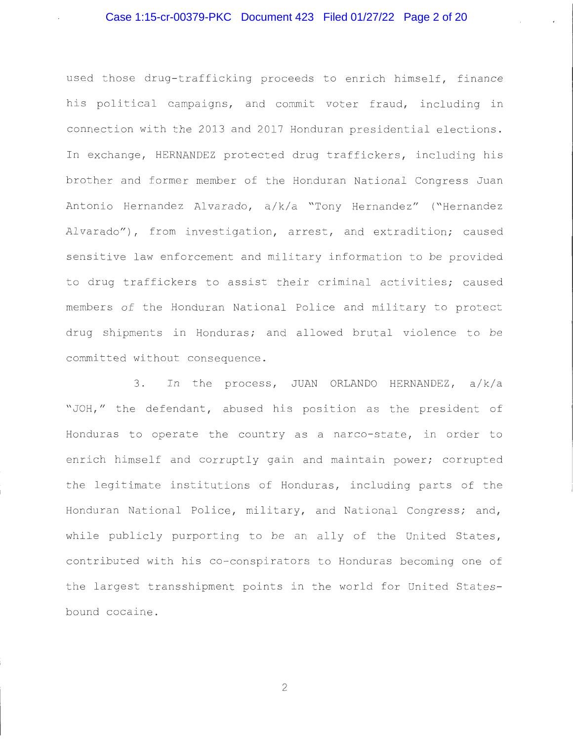# Case 1:15-cr-00379-PKC Document 423 Filed 01/27/22 Page 2 of 20

used those drug-trafficking proceeds to enrich himself, finance his political campaigns, and commit voter fraud, including in connection with the 2013 and 2017 Honduran presidential elections . In exchange, HERNANDEZ protected drug traffickers, including his brother and former member of the Honduran National Congress Juan Antonio Hernandez Alvarado, a/k/a "Tony Hernandez" ("Hernandez Alvarado"), from investigation, arrest, and extradition; caused sensitive law enforcement and military information to be provided to drug traffickers to assist their criminal activities; caused members of the Honduran National Police and military to protect drug shipments in Honduras; and allowed brutal violence to be committed without consequence .

3. In the process, JUAN ORLANDO HERNANDEZ, a/k/a "JOH," the defendant, abused his position as the president of Honduras to operate the country as a narco-state, in order to enrich himself and corruptly gain and maintain power; corrupted the legitimate institutions of Honduras, including parts of the Honduran National Police, military, and National Congress; and, while publicly purporting to be an ally of the United States, contributed with his co- conspirators to Honduras becoming one of the largest transshipment points in the world for United Statesbound cocaine .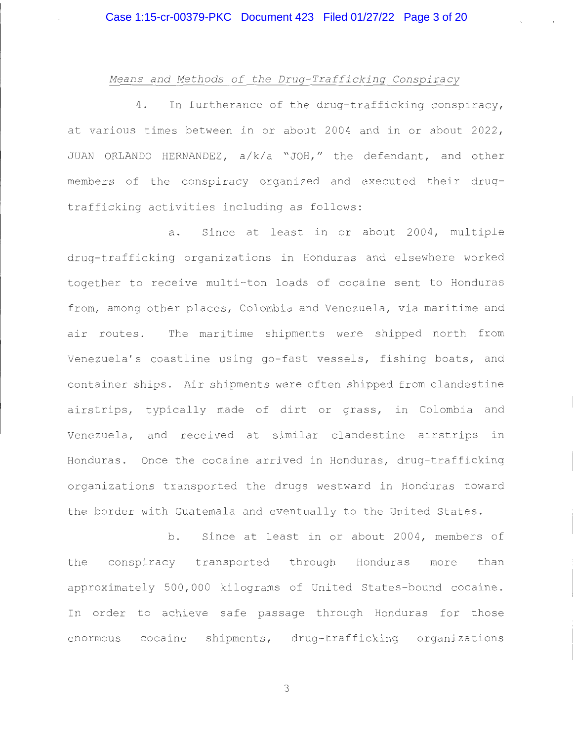### *Means and Methods of the Drug-Trafficking Conspiracy*

4. In furtherance of the drug-trafficking conspiracy, at various times between in or about 2004 and in or about 2022 , JUAN ORLANDO HERNANDEZ,  $a/k/a$  "JOH," the defendant, and other members of the conspiracy organized and executed their drugtrafficking activities including as follows :

a. Since at least in or about 2004, multiple drug- trafficking organizations in Honduras and elsewhere worked together to receive multi-ton loads of cocaine sent to Honduras from, among other places, Colombia and Venezuela, via maritime and air routes. The maritime shipments were shipped north from Venezuela's coastline using go-fast vessels, fishing boats, and container ships. Air shipments were often shipped from clandestine airstrips, typically made of dirt or grass, in Colombia and Venezuela, and received at similar clandestine airstrips in Honduras. Once the cocaine arrived in Honduras, drug-trafficking organizations transported the drugs westward in Honduras toward the border with Guatemala and eventually to the United States .

b. Since at least in or about 2004, members of the conspiracy transported through Honduras more than approximately 500,000 kilograms of United States-bound cocaine. In order to achieve safe passage through Honduras for those enormous cocaine shipments, drug-trafficking organizations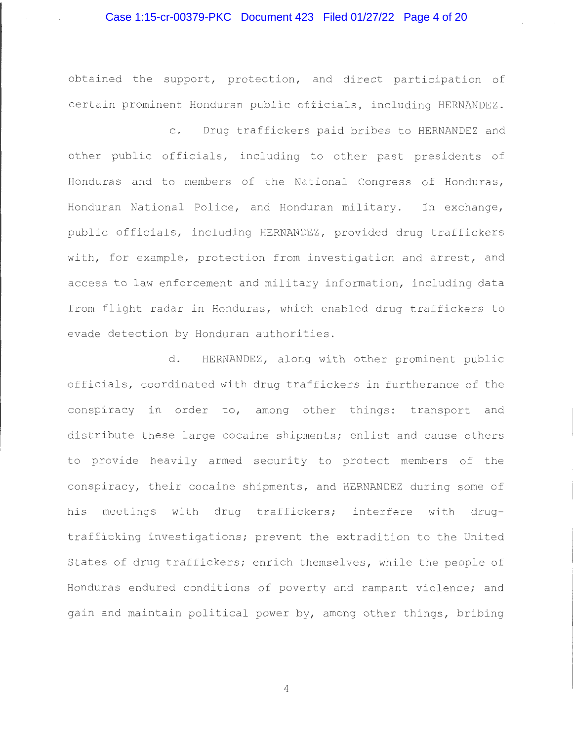## Case 1:15-cr-00379-PKC Document 423 Filed 01/27/22 Page 4 of 20

obtained the support, protection, and direct participation of certain prominent Honduran public officials, including HERNANDEZ.

c. Drug traffickers paid bribes to HERNANDEZ and other public officials, including to other past presidents of Honduras and to members of the National Congress of Honduras, Honduran National Police, and Honduran military. In exchange, public officials, including HERNANDEZ, provided drug traffickers with, for example, protection from investigation and arrest, and access to law enforcement and military information, including data from flight radar in Honduras, which enabled drug traffickers to evade detection by Honduran authorities .

d. HERNANDEZ, along with other prominent public officials, coordinated with drug traffickers in furtherance of the conspiracy in order to, among other things: transport and distribute these large cocaine shipments; enlist and cause others to provide heavily armed security to protect members of the conspiracy, their cocaine shipments, and HERNANDEZ during some of his meetings with drug traffickers; interfere with drugtrafficking investigations; prevent the extradition to the United States of drug traffickers; enrich themselves, while the people of Honduras endured conditions of poverty and rampant violence; and gain and maintain political power by, among other things, bribing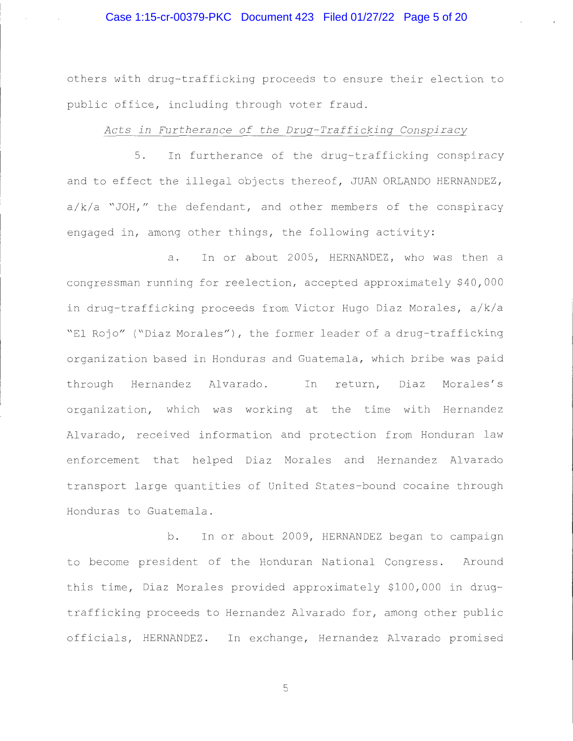# Case 1:15-cr-00379-PKC Document 423 Filed 01/27/22 Page 5 of 20

others with drug-trafficking proceeds to ensure their election to public office, including through voter fraud.

## *Acts in Furtherance of the Drug-Trafficking Conspiracy*

5. In furtherance of the drug-trafficking conspiracy and to effect the illegal objects thereof, JUAN ORLANDO HERNANDEZ,  $a/k/a$  "JOH," the defendant, and other members of the conspiracy engaged in, among other things, the following activity:

a. In or about 2005, HERNANDEZ, who was then a congressman running for reelection, accepted approximately \$40,000 in drug-trafficking proceeds from Victor Hugo Diaz Morales, a/k/a "El Rojo" ("Diaz Morales"), the former leader of a drug-trafficking organization based in Honduras and Guatemala, which bribe was paid through Hernandez Alvarado. In return, Diaz Morales's organization, which was working at the time with Hernandez Alvarado, received information and protection from Honduran law enforcement that helped Diaz Morales and Hernandez Alvarado transport large quantities of United States-bound cocaine through Honduras to Guatemala .

b. In or about 2009, HERNANDEZ began to campaign to become president of the Honduran National Congress. Around this time, Diaz Morales provided approximately \$100,000 in drugtrafficking proceeds to Hernandez Alvarado for, among other public officials, HERNANDEZ. In exchange, Hernandez Alvarado promised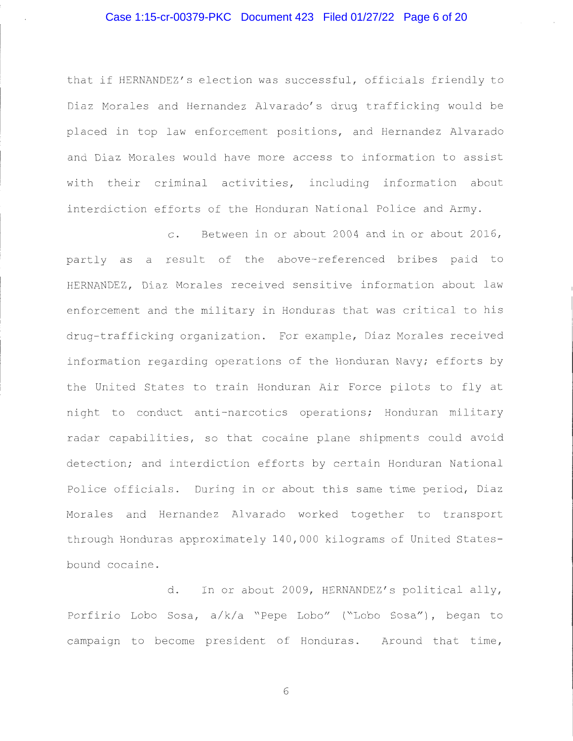# Case 1:15-cr-00379-PKC Document 423 Filed 01/27/22 Page 6 of 20

that if HERNANDEZ's election was successful, officials friendly to Diaz Morales and Hernandez Alvarado's drug trafficking would be placed in top law enforcement positions, and Hernandez Alvarado and Diaz Morales would have more access to information to assist with their criminal activities, including information about interdiction efforts of the Honduran National Police and Army.

c. Between in or about 2004 and in or about 2016, partly as a result of the above-referenced bribes paid to HERNANDEZ, Diaz Morales received sensitive information about law enforcement and the military in Honduras that was critical to his drug-trafficking organization. For example, Diaz Morales received information regarding operations of the Honduran Navy; efforts by the United States to train Honduran Air Force pilots to fly at night to conduct anti-narcotics operations; Honduran military radar capabilities, so that cocaine plane shipments could avoid detection; and interdiction efforts by certain Honduran National Police officials. During in or about this same time period, Diaz Morales and Hernandez Alvarado worked together to transport through Honduras approximately 140 , 000 kilograms of United Statesbound cocaine .

d. In or about 2009, HERNANDEZ's political ally, Porfirio Lobo Sosa, a/k/a "Pepe Lobo" ("Lobo Sosa"), began to campaign to become president of Honduras. Around that time,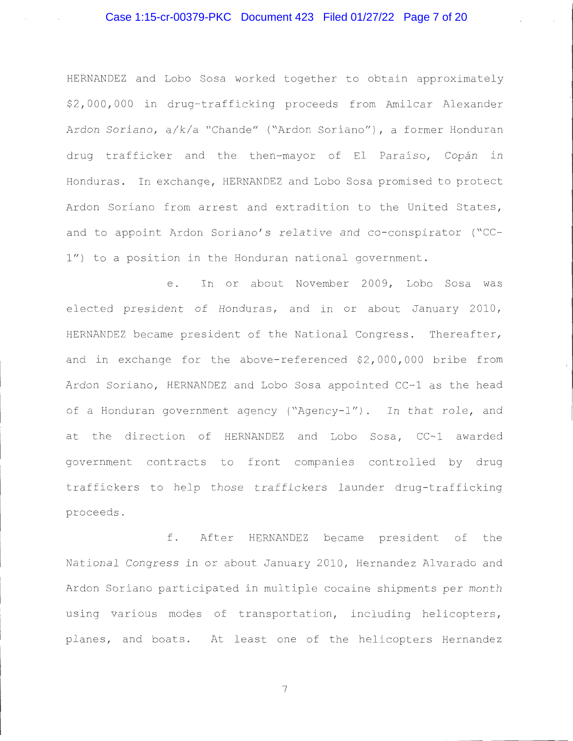# Case 1:15-cr-00379-PKC Document 423 Filed 01/27/22 Page 7 of 20

HERNANDEZ and Lobo Sosa worked together to obtain approximately \$2,000,000 in drug-trafficking proceeds from Amilcar Alexander Ardon Soriano, a/k/a "Chande" ("Ardon Soriano"), a former Honduran drug trafficker and the then-mayor of El Paraíso, Copán in Honduras. In exchange, HERNANDEZ and Lobo Sosa promised to protect Ardon Soriano from arrest and extradition to the United States, and to appoint Ardon Soriano's relative and co-conspirator ("CC-1") to a position in the Honduran national government.

e. In or about November 2009, Lobo Sosa was elected president of Honduras, and in or about January 2010, HERNANDEZ became president of the National Congress. Thereafter, and in exchange for the above-referenced \$2,000,000 bribe from Ardon Soriano, HERNANDEZ and Lobo Sosa appointed CC-1 as the head of a Honduran government agency ("Agency-1"). In that role, and at the direction of HERNANDEZ and Lobo Sosa, CC-1 awarded government contracts to front companies controlled by drug traffickers to help those traffickers launder drug-trafficking proceeds .

f . After HERNANDEZ became president of the National Congress in or about January 2010 , Hernandez Alvarado and Ardon Soriano participated in multiple cocaine shipments per month using various modes of transportation, including helicopters, planes, and boats. At least one of the helicopters Hernandez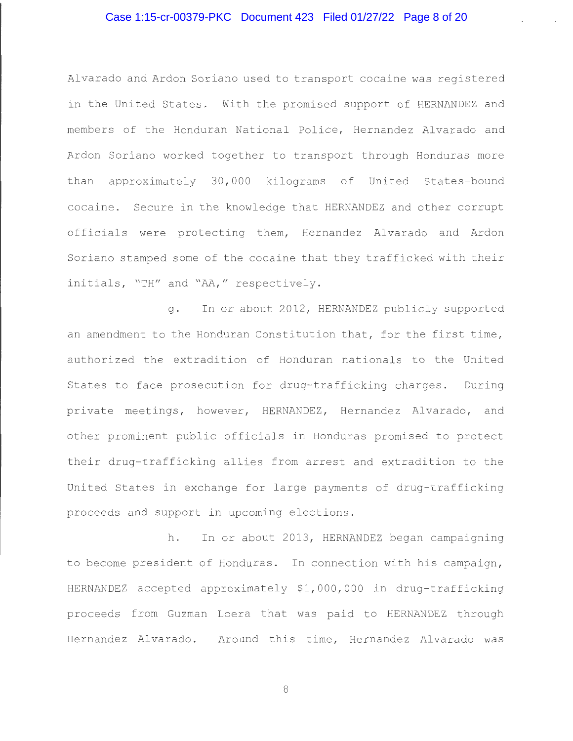# Case 1:15-cr-00379-PKC Document 423 Filed 01/27/22 Page 8 of 20

Alvarado and Ardon Soriano used to transport cocaine was registered in the United States. With the promised support of HERNANDEZ and members of the Honduran National Police, Hernandez Alvarado and Ardon Soriano worked together to transport through Honduras more than approximately 30,000 kilograms of United States-bound cocaine. Secure in the knowledge that HERNANDEZ and other corrupt officials were protecting them, Hernandez Alvarado and Ardon Soriano stamped some of the cocaine that they trafficked with their initials, "TH" and "AA," respectively.

g. In or about 2012, HERNANDEZ publicly supported an amendment to the Honduran Constitution that, for the first time, authorized the extradition of Honduran nationals to the United States to face prosecution for drug-trafficking charges. During private meetings, however, HERNANDEZ, Hernandez Alvarado, and other prominent public officials in Honduras promised to protect their drug-trafficking allies from arrest and extradition to the United States in exchange for large payments of drug-trafficking proceeds and support in upcoming elections .

h. In or about 2013, HERNANDEZ began campaigning to become president of Honduras. In connection with his campaign, HERNANDEZ accepted approximately \$1,000,000 in drug-trafficking proceeds from Guzman Loera that was paid to HERNANDEZ through Hernandez Alvarado. Around this time, Hernandez Alvarado was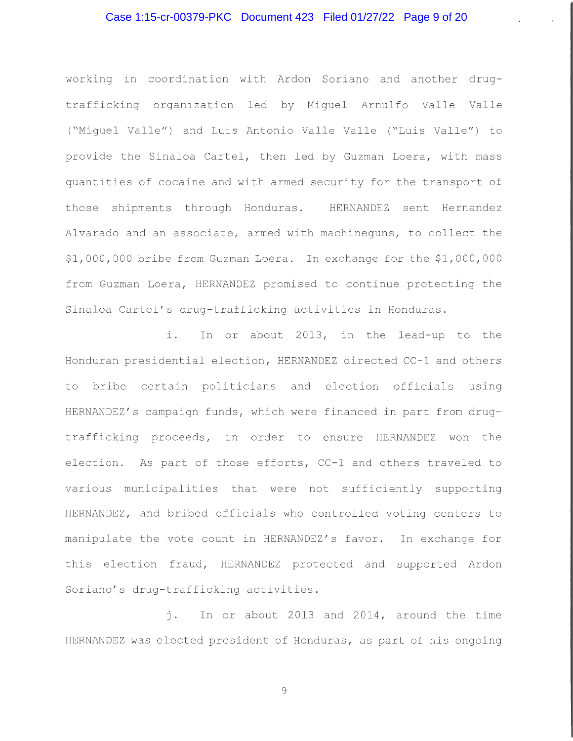working in coordination with Ardon Soriano and another drugtrafficking organization led by Miguel Arnulfo Valle Valle ( "Miguel Valle") and Luis Antonio Valle Valle ( "Luis Valle") to provide the Sinaloa Cartel, then led by Guzman Loera, with mass quantities of cocaine and with armed security for the transport of those shipments through Honduras. HERNANDEZ sent Hernandez Alvarado and an associate, armed with machineguns, to collect the \$1 , 000 , 000 bribe from Guzman Loera. In exchange for the \$1 , 000 , 000 from Guzman Loera, HERNANDEZ promised to continue protecting the Sinaloa Cartel's drug-trafficking activities in Honduras.

i. In or about 2013, in the lead-up to the Honduran presidential election, HERNANDEZ directed CC-1 and others to bribe certain politicians and election officials using HERNANDEZ's campaign funds, which were financed in part from drugtrafficking proceeds, in order to ensure HERNANDEZ won the election. As part of those efforts, CC-1 and others traveled to various municipalities that were not sufficiently supporting HERNANDEZ, and bribed officials who controlled voting centers to manipulate the vote count in HERNANDEZ's favor. In exchange for this election fraud, HERNANDEZ protected and supported Ardon Soriano's drug-trafficking activities.

j. In or about 2013 and 2014, around the time HERNANDEZ was elected president of Honduras, as part of his ongoing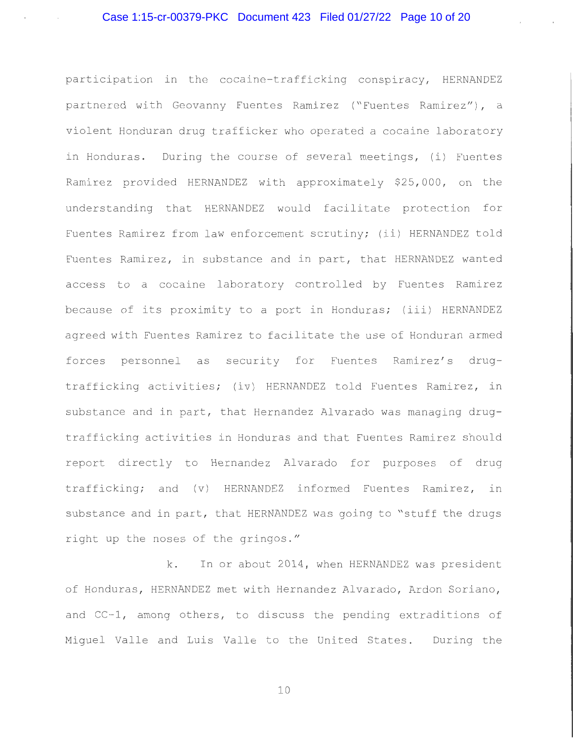participation in the cocaine-trafficking conspiracy, HERNANDEZ partnered with Geovanny Fuentes Ramirez ("Fuentes Ramirez") , a violent Honduran drug trafficker who operated a cocaine laboratory in Honduras. During the course of several meetings, (i) Fuentes Ramirez provided HERNANDEZ with approximately \$25,000, on the understanding that HERNANDEZ would facilitate protection for Fuentes Ramirez from law enforcement scrutiny; (ii) HERNANDEZ told Fuentes Ramirez, in substance and in part, that HERNANDEZ wanted access to a cocaine laboratory controlled by Fuentes Ramirez because of its proximity to a port in Honduras; (iii) HERNANDEZ agreed with Fuentes Ramirez to facilitate the use of Honduran armed forces personnel as security for Fuentes Ramirez's drugtrafficking activities; (iv) HERNANDEZ told Fuentes Ramirez, in substance and in part, that Hernandez Alvarado was managing drugtrafficking activities in Honduras and that Fuentes Ramirez should report directly to Hernandez Alvarado for purposes of drug trafficking; and (v) HERNANDEZ informed Fuentes Ramirez, in substance and in part, that HERNANDEZ was going to "stuff the drugs right up the noses of the gringos ."

k. In or about 2014, when HERNANDEZ was president of Honduras, HERNANDEZ met with Hernandez Alvarado, Ardon Soriano, and CC-1, among others, to discuss the pending extraditions of Miquel Valle and Luis Valle to the United States. During the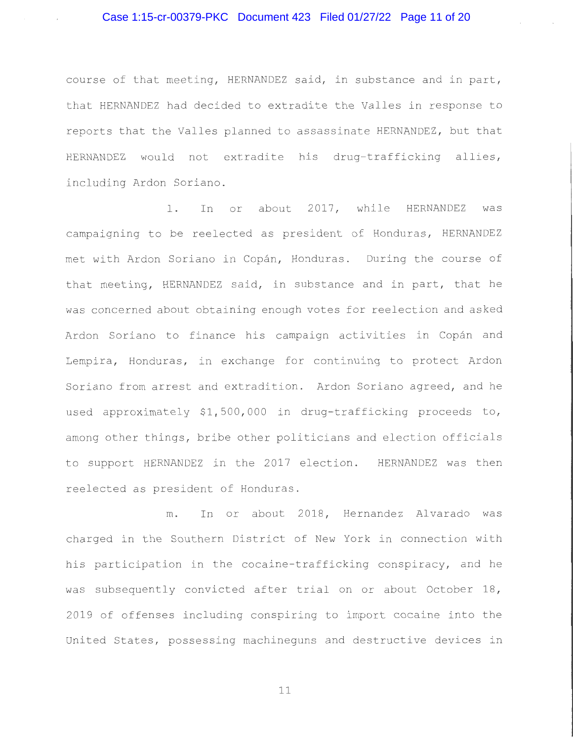## Case 1:15-cr-00379-PKC Document 423 Filed 01/27/22 Page 11 of 20

course of that meeting, HERNANDEZ said, in substance and in part, that HERNANDEZ had decided to extradite the Valles in response to reports that the Valles planned to assassinate HERNANDEZ , but that HERNANDEZ would not extradite his drug-trafficking allies, including Ardon Soriano.

1. In or about 2017, while HERNANDEZ was campaigning to be reelected as president of Honduras, HERNANDEZ met with Ardon Soriano in Copán, Honduras. During the course of that meeting, HERNANDEZ said, in substance and in part, that he was concerned about obtaining enough votes for reelection and asked Ardon Soriano to finance his campaign activities in Copán and Lempira, Honduras, in exchange for continuing to protect Ardon Soriano from arrest and extradition. Ardon Soriano agreed, and he used approximately \$1,500,000 in drug-trafficking proceeds to, among other things, bribe other politicians and election officials to support HERNANDEZ in the 2017 election. HERNANDEZ was then reelected as president of Honduras .

m. In or about 2018, Hernandez Alvarado was charged in the Southern District of New York in connection with his participation in the cocaine-trafficking conspiracy, and he was subsequently convicted after trial on or about October 18, 2019 of offenses including conspiring to import cocaine into the United States, possessing machineguns and destructive devices in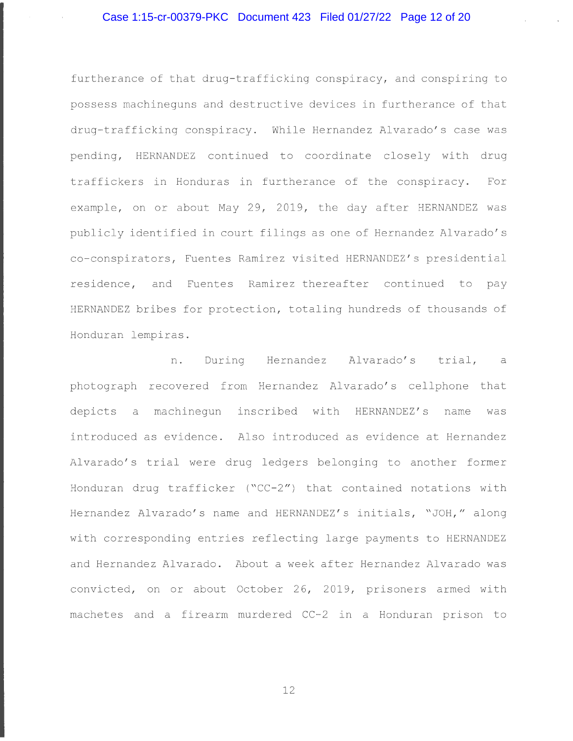furtherance of that drug-trafficking conspiracy, and conspiring to possess machineguns and destructive devices in furtherance of that drug-trafficking conspiracy. While Hernandez Alvarado's case was pending, HERNANDEZ continued to coordinate closely with drug traffickers in Honduras in furtherance of the conspiracy. For example, on or about May 29, 2019, the day after HERNANDEZ was publicly identified in court filings as one of Hernandez Alvarado's co - conspirators, Fuentes Ramirez visited HERNANDEZ ' s presidential residence, and Fuentes Ramirez thereafter continued to pay HERNANDEZ bribes for protection, totaling hundreds of thousands of Honduran lempiras .

n. During Hernandez Alvarado's trial, a photograph recovered from Hernandez Alvarado's cellphone that depicts a machinegun inscribed with HERNANDEZ's name was introduced as evidence. Also introduced as evidence at Hernandez Alvarado's trial were drug ledgers belonging to another former Honduran drug trafficker ( $C-C-2$ ") that contained notations with Hernandez Alvarado's name and HERNANDEZ's initials, "JOH," along with corresponding entries reflecting large payments to HERNANDEZ and Hernandez Alvarado . About a week after Hernandez Alvarado was convicted, on or about October 26, 2019, prisoners armed with machetes and a firearm murdered CC-2 in a Honduran prison to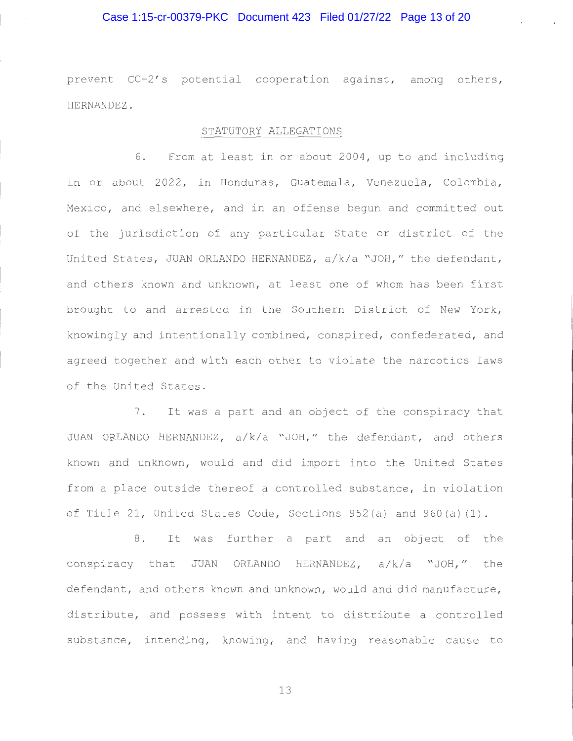## Case 1:15-cr-00379-PKC Document 423 Filed 01/27/22 Page 13 of 20

prevent CC-2's potential cooperation against, among others, HERNANDEZ .

## STATUTORY ALLEGATIONS

6. From at least in or about 2004, up to and including in or about 2022, in Honduras, Guatemala, Venezuela, Colombia, Mexico, and elsewhere, and in an offense begun and committed out of the jurisdiction of any particular State or district of the United States, JUAN ORLANDO HERNANDEZ, a/k/a "JOH," the defendant, and others known and unknown, at least one of whom has been first brought to and arrested in the Southern District of New York, knowingly and intentionally combined, conspired, confederated, and agreed together and with each other to violate the narcotics laws of the United States.

7. It was a part and an object of the conspiracy that JUAN ORLANDO HERNANDEZ, a/k/a "JOH," the defendant, and others known and unknown, would and did import into the United States from a place outside thereof a controlled substance, in violation of Title 21, United States Code, Sections  $952(a)$  and  $960(a)(1)$ .

8. It was further a part and an object of the conspiracy that JUAN ORLANDO HERNANDEZ,  $a/k/a$  "JOH," the defendant, and others known and unknown, would and did manufacture, distribute, and possess with intent to distribute a controlled substance, intending, knowing, and having reasonable cause to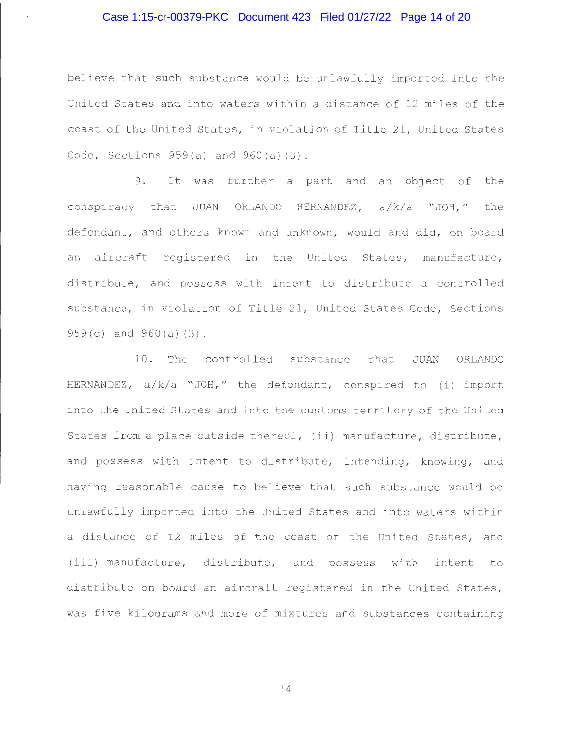## Case 1:15-cr-00379-PKC Document 423 Filed 01/27/22 Page 14 of 20

believe that such substance would be unlawfully imported into the United States and into waters within a distance of 12 miles of the coast of the United States, in violation of Title 21, United States Code, Sections  $959(a)$  and  $960(a)(3)$ .

<sup>9</sup> . It was further a part and an object of the conspiracy that JUAN ORLANDO HERNANDEZ, a/k/a "JOH," the defendant, and others known and unknown, would and did, on board an aircraft registered in the United States, manufacture, distribute, and possess with intent to distribute a controlled substance, in violation of Title 21, United States Code, Sections 959 (c) and 960 (a) (3)

10 . The controlled substance that JUAN ORLANDO HERNANDEZ, a/k/a "JOH," the defendant, conspired to (i) import into the United States and into the customs territory of the United States from a place outside thereof, (ii) manufacture, distribute, and possess with intent to distribute, intending, knowing, and having reasonable cause to believe that such substance would be unlawfully imported into the United States and into waters within a distance of 12 miles of the coast of the United States, and (iii) manufacture, distribute, and possess with intent to distribute on board an aircraft registered in the United States, was five kilograms and more of mixtures and substances containing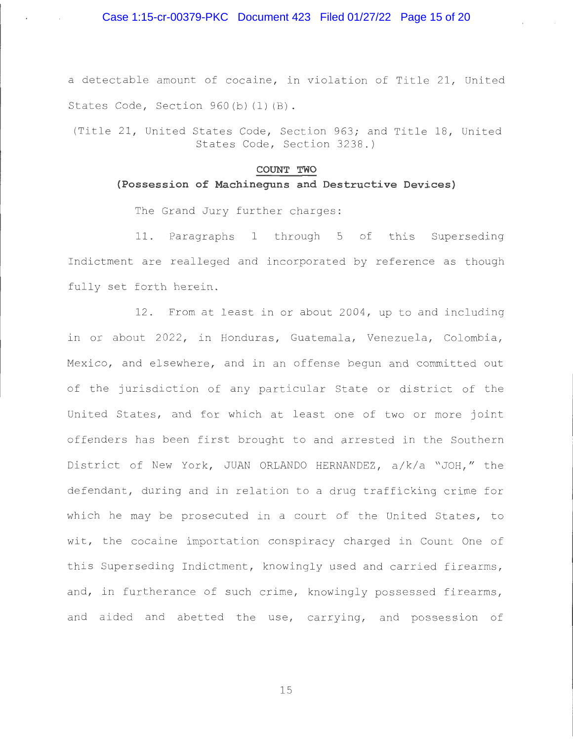a detectable amount of cocaine, in violation of Title 21, United States Code, Section  $960(b)$  (1) (B).

(Title 21, United States Code, Section 963; and Title 18, United States Code, Section 3238.)

#### **COUNT TWO**

### **(Possession of Machineguns and Destructive Devices)**

The Grand Jury further charges:

11. Paragraphs 1 through 5 of this Superseding Indictment are realleged and incorporated by reference as though fully set forth herein.

12. From at least in or about 2004, up to and including in or about 2022, in Honduras, Guatemala, Venezuela, Colombia, Mexico, and elsewhere, and in an offense begun and committed out of the jurisdiction of any particular State or district of the United States, and for which at least one of two or more joint offenders has been first brought to and arrested in the Southern District of New York, JUAN ORLANDO HERNANDEZ, a/k/a "JOH," the defendant, during and in relation to a drug trafficking crime for which he may be prosecuted in a court of the United States, to wit, the cocaine importation conspiracy charged in Count One of this Superseding Indictment, knowingly used and carried firearms, and, in furtherance of such crime, knowingly possessed firearms, and aided and abetted the use, carrying, and possession of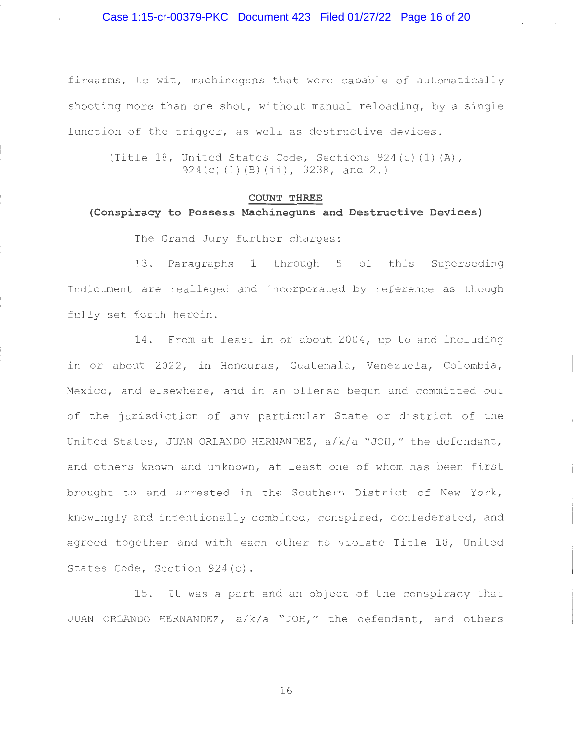### Case 1:15-cr-00379-PKC Document 423 Filed 01/27/22 Page 16 of 20

firearms, to wit, machineguns that were capable of automatically shooting more than one shot, without manual reloading, by a single function of the trigger, as well as destructive devices .

(Title 18, United States Code, Sections  $924(c)$  (1) (A), 924 (c) (1) (B) (ii), 3238, and 2.)

### **COUNT THREE**

# **(Conspiracy to Possess Machineguns and Destructive Devices)**

The Grand Jury further charges:

13 . Paragraphs 1 through 5 of this Superseding Indictment are realleged and incorporated by reference as though fully set forth herein.

14. From at least in or about 2004, up to and including in or about 2022, in Honduras, Guatemala, Venezuela, Colombia, Mexico, and elsewhere, and in an offense begun and committed out of the jurisdiction of any particular State or district of the United States, JUAN ORLANDO HERNANDEZ,  $a/k/a$  "JOH," the defendant, and others known and unknown, at least one of whom has been first brought to and arrested in the Southern District of New York, knowingly and intentionally combined, conspired, confederated, and agreed together and with each other to violate Title 18, United States Code, Section 924(c).

15. It was a part and an object of the conspiracy that JUAN ORLANDO HERNANDEZ, a/k/a "JOH," the defendant, and others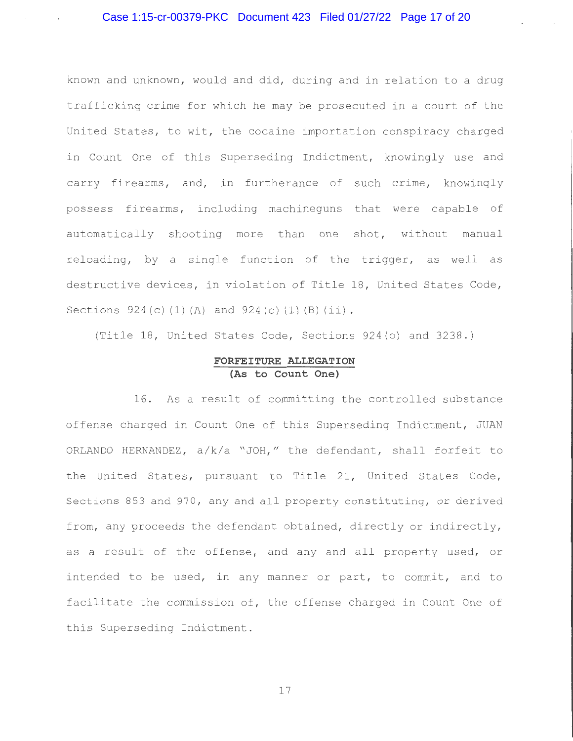known and unknown, would and did, during and in relation to a drug trafficking crime for which he may be prosecuted in a court of the United States, to wit, the cocaine importation conspiracy charged in Count One of this Superseding Indictment, knowingly use and carry firearms, and, in furtherance of such crime, knowingly possess firearms, including machineguns that were capable of automatically shooting more than one shot, without manual reloading, by a single function of the trigger, as well as destructive devices, in violation of Title 18, United States Code, Sections  $924(c) (1) (A)$  and  $924(c) (1) (B) (ii)$ .

(Title 18, United States Code, Sections 924(o) and 3238.)

## **FORFEITURE ALLEGATION (As to Count One)**

16 . As a result of committing the controlled substance offense charged in Count One of this Superseding Indictment, JUAN ORLANDO HERNANDEZ,  $a/k/a$  "JOH," the defendant, shall forfeit to the United States, pursuant to Title 21, United States Code, Sections 853 and 970, any and all property constituting, or derived from, any proceeds the defendant obtained, directly or indirectly, as a result of the offense, and any and all property used, or intended to be used, in any manner or part, to commit, and to facilitate the commission of, the offense charged in Count One of this Superseding Indictment .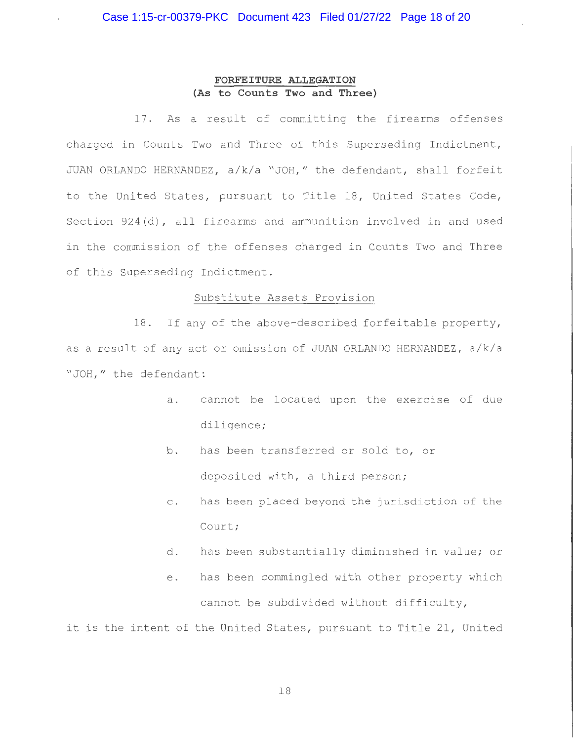## **FORFEITURE ALLEGATION (As to Counts Two and Three)**

17. As a result of committing the firearms offenses charged in Counts Two and Three of this Superseding Indictment, JUAN ORLANDO HERNANDEZ, a/k/a "JOH," the defendant, shall forfeit to the United States, pursuant to Title 18, United States Code, Section 924(d), all firearms and ammunition involved in and used in the commission of the offenses charged in Counts Two and Three of this Superseding Indictment .

### Substitute Assets Provision

18. If any of the above-described forfeitable property, as a result of any act or omission of JUAN ORLANDO HERNANDEZ , a/k/a "JOH," the defendant:

- a. cannot be located upon the exercise of due diligence;
- b. has been transferred or sold to, or deposited with, a third person;
- c. has been placed beyond the jurisdiction of the Court;
- d. has been substantially diminished in value; or
- e. has been commingled with other property which cannot be subdivided without difficulty,

it is the intent of the United States, pursuant to Title 21, United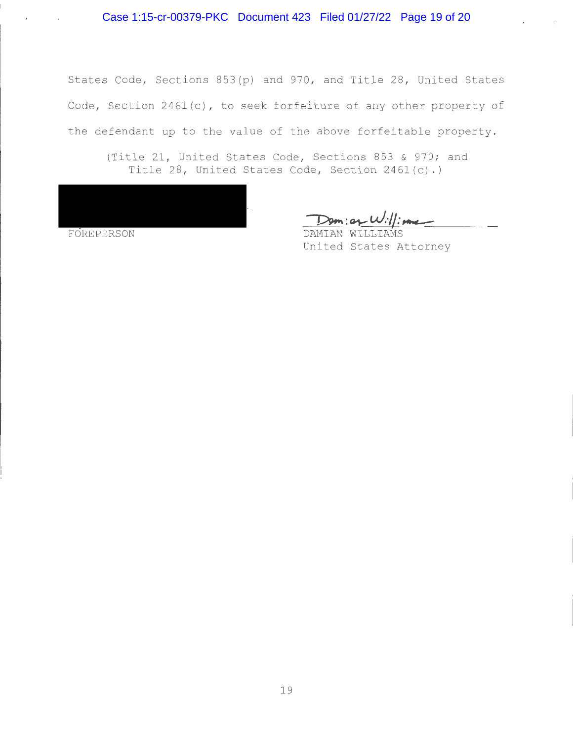States Code, Sections 853(p) and 970, and Title 28, United States Code, Section  $2461(c)$ , to seek forfeiture of any other property of the defendant up to the value of the above forfeitable property.

(Title 21, United States Code, Sections 853 & 970; and Title 28, United States Code, Section 2461(c).)

|            |  | u.<br><b>Tara</b> |
|------------|--|-------------------|
|            |  |                   |
| FOREPERSON |  |                   |

 $\sim 10^{11}$  m  $^{-1}$ 

Dom: of W://:

United States Attorney